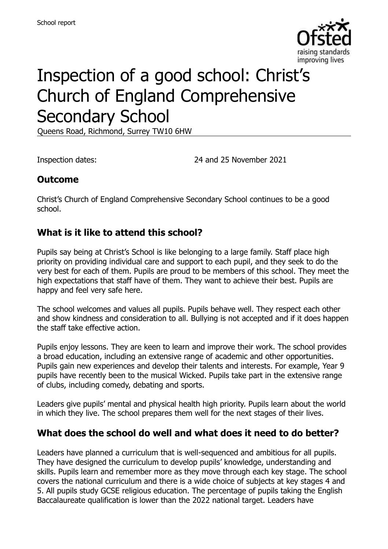

# Inspection of a good school: Christ's Church of England Comprehensive Secondary School

Queens Road, Richmond, Surrey TW10 6HW

Inspection dates: 24 and 25 November 2021

#### **Outcome**

Christ's Church of England Comprehensive Secondary School continues to be a good school.

#### **What is it like to attend this school?**

Pupils say being at Christ's School is like belonging to a large family. Staff place high priority on providing individual care and support to each pupil, and they seek to do the very best for each of them. Pupils are proud to be members of this school. They meet the high expectations that staff have of them. They want to achieve their best. Pupils are happy and feel very safe here.

The school welcomes and values all pupils. Pupils behave well. They respect each other and show kindness and consideration to all. Bullying is not accepted and if it does happen the staff take effective action.

Pupils enjoy lessons. They are keen to learn and improve their work. The school provides a broad education, including an extensive range of academic and other opportunities. Pupils gain new experiences and develop their talents and interests. For example, Year 9 pupils have recently been to the musical Wicked. Pupils take part in the extensive range of clubs, including comedy, debating and sports.

Leaders give pupils' mental and physical health high priority. Pupils learn about the world in which they live. The school prepares them well for the next stages of their lives.

#### **What does the school do well and what does it need to do better?**

Leaders have planned a curriculum that is well-sequenced and ambitious for all pupils. They have designed the curriculum to develop pupils' knowledge, understanding and skills. Pupils learn and remember more as they move through each key stage. The school covers the national curriculum and there is a wide choice of subjects at key stages 4 and 5. All pupils study GCSE religious education. The percentage of pupils taking the English Baccalaureate qualification is lower than the 2022 national target. Leaders have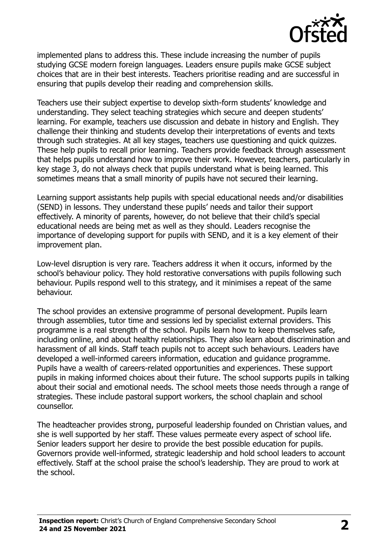

implemented plans to address this. These include increasing the number of pupils studying GCSE modern foreign languages. Leaders ensure pupils make GCSE subject choices that are in their best interests. Teachers prioritise reading and are successful in ensuring that pupils develop their reading and comprehension skills.

Teachers use their subject expertise to develop sixth-form students' knowledge and understanding. They select teaching strategies which secure and deepen students' learning. For example, teachers use discussion and debate in history and English. They challenge their thinking and students develop their interpretations of events and texts through such strategies. At all key stages, teachers use questioning and quick quizzes. These help pupils to recall prior learning. Teachers provide feedback through assessment that helps pupils understand how to improve their work. However, teachers, particularly in key stage 3, do not always check that pupils understand what is being learned. This sometimes means that a small minority of pupils have not secured their learning.

Learning support assistants help pupils with special educational needs and/or disabilities (SEND) in lessons. They understand these pupils' needs and tailor their support effectively. A minority of parents, however, do not believe that their child's special educational needs are being met as well as they should. Leaders recognise the importance of developing support for pupils with SEND, and it is a key element of their improvement plan.

Low-level disruption is very rare. Teachers address it when it occurs, informed by the school's behaviour policy. They hold restorative conversations with pupils following such behaviour. Pupils respond well to this strategy, and it minimises a repeat of the same behaviour.

The school provides an extensive programme of personal development. Pupils learn through assemblies, tutor time and sessions led by specialist external providers. This programme is a real strength of the school. Pupils learn how to keep themselves safe, including online, and about healthy relationships. They also learn about discrimination and harassment of all kinds. Staff teach pupils not to accept such behaviours. Leaders have developed a well-informed careers information, education and guidance programme. Pupils have a wealth of careers-related opportunities and experiences. These support pupils in making informed choices about their future. The school supports pupils in talking about their social and emotional needs. The school meets those needs through a range of strategies. These include pastoral support workers, the school chaplain and school counsellor.

The headteacher provides strong, purposeful leadership founded on Christian values, and she is well supported by her staff. These values permeate every aspect of school life. Senior leaders support her desire to provide the best possible education for pupils. Governors provide well-informed, strategic leadership and hold school leaders to account effectively. Staff at the school praise the school's leadership. They are proud to work at the school.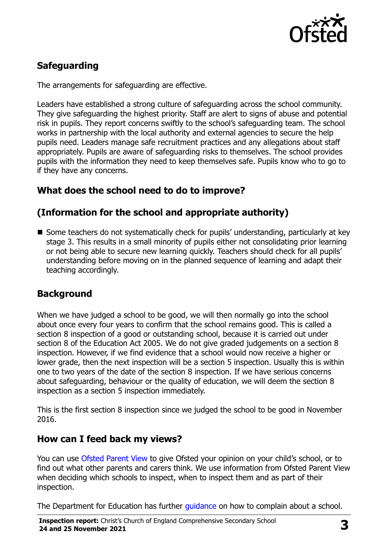

# **Safeguarding**

The arrangements for safeguarding are effective.

Leaders have established a strong culture of safeguarding across the school community. They give safeguarding the highest priority. Staff are alert to signs of abuse and potential risk in pupils. They report concerns swiftly to the school's safeguarding team. The school works in partnership with the local authority and external agencies to secure the help pupils need. Leaders manage safe recruitment practices and any allegations about staff appropriately. Pupils are aware of safeguarding risks to themselves. The school provides pupils with the information they need to keep themselves safe. Pupils know who to go to if they have any concerns.

# **What does the school need to do to improve?**

# **(Information for the school and appropriate authority)**

■ Some teachers do not systematically check for pupils' understanding, particularly at key stage 3. This results in a small minority of pupils either not consolidating prior learning or not being able to secure new learning quickly. Teachers should check for all pupils' understanding before moving on in the planned sequence of learning and adapt their teaching accordingly.

# **Background**

When we have judged a school to be good, we will then normally go into the school about once every four years to confirm that the school remains good. This is called a section 8 inspection of a good or outstanding school, because it is carried out under section 8 of the Education Act 2005. We do not give graded judgements on a section 8 inspection. However, if we find evidence that a school would now receive a higher or lower grade, then the next inspection will be a section 5 inspection. Usually this is within one to two years of the date of the section 8 inspection. If we have serious concerns about safeguarding, behaviour or the quality of education, we will deem the section 8 inspection as a section 5 inspection immediately.

This is the first section 8 inspection since we judged the school to be good in November 2016.

#### **How can I feed back my views?**

You can use [Ofsted Parent View](https://parentview.ofsted.gov.uk/) to give Ofsted your opinion on your child's school, or to find out what other parents and carers think. We use information from Ofsted Parent View when deciding which schools to inspect, when to inspect them and as part of their inspection.

The Department for Education has further quidance on how to complain about a school.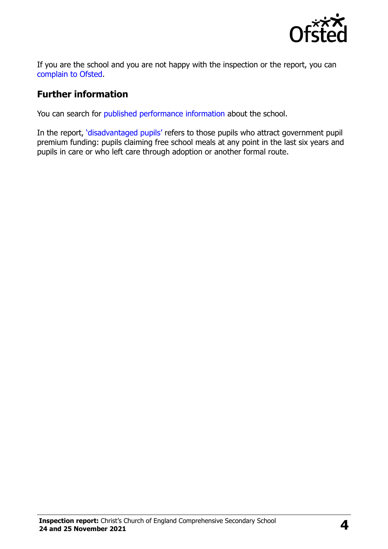

If you are the school and you are not happy with the inspection or the report, you can [complain to Ofsted.](https://www.gov.uk/complain-ofsted-report)

### **Further information**

You can search for [published performance information](http://www.compare-school-performance.service.gov.uk/) about the school.

In the report, '[disadvantaged pupils](http://www.gov.uk/guidance/pupil-premium-information-for-schools-and-alternative-provision-settings)' refers to those pupils who attract government pupil premium funding: pupils claiming free school meals at any point in the last six years and pupils in care or who left care through adoption or another formal route.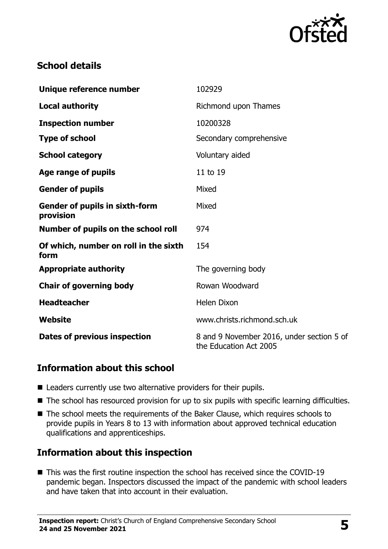

# **School details**

| Unique reference number                            | 102929                                                              |
|----------------------------------------------------|---------------------------------------------------------------------|
| <b>Local authority</b>                             | Richmond upon Thames                                                |
| <b>Inspection number</b>                           | 10200328                                                            |
| <b>Type of school</b>                              | Secondary comprehensive                                             |
| <b>School category</b>                             | Voluntary aided                                                     |
| Age range of pupils                                | 11 to 19                                                            |
| <b>Gender of pupils</b>                            | Mixed                                                               |
| <b>Gender of pupils in sixth-form</b><br>provision | Mixed                                                               |
| Number of pupils on the school roll                | 974                                                                 |
| Of which, number on roll in the sixth<br>form      | 154                                                                 |
| <b>Appropriate authority</b>                       | The governing body                                                  |
| <b>Chair of governing body</b>                     | Rowan Woodward                                                      |
| <b>Headteacher</b>                                 | <b>Helen Dixon</b>                                                  |
| Website                                            | www.christs.richmond.sch.uk                                         |
| <b>Dates of previous inspection</b>                | 8 and 9 November 2016, under section 5 of<br>the Education Act 2005 |

#### **Information about this school**

- Leaders currently use two alternative providers for their pupils.
- The school has resourced provision for up to six pupils with specific learning difficulties.
- The school meets the requirements of the Baker Clause, which requires schools to provide pupils in Years 8 to 13 with information about approved technical education qualifications and apprenticeships.

# **Information about this inspection**

■ This was the first routine inspection the school has received since the COVID-19 pandemic began. Inspectors discussed the impact of the pandemic with school leaders and have taken that into account in their evaluation.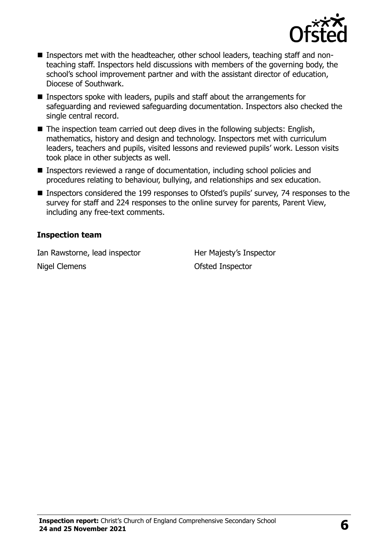

- Inspectors met with the headteacher, other school leaders, teaching staff and nonteaching staff. Inspectors held discussions with members of the governing body, the school's school improvement partner and with the assistant director of education, Diocese of Southwark.
- Inspectors spoke with leaders, pupils and staff about the arrangements for safeguarding and reviewed safeguarding documentation. Inspectors also checked the single central record.
- $\blacksquare$  The inspection team carried out deep dives in the following subjects: English, mathematics, history and design and technology. Inspectors met with curriculum leaders, teachers and pupils, visited lessons and reviewed pupils' work. Lesson visits took place in other subjects as well.
- Inspectors reviewed a range of documentation, including school policies and procedures relating to behaviour, bullying, and relationships and sex education.
- Inspectors considered the 199 responses to Ofsted's pupils' survey, 74 responses to the survey for staff and 224 responses to the online survey for parents, Parent View, including any free-text comments.

#### **Inspection team**

Ian Rawstorne, lead inspector Her Majesty's Inspector Nigel Clemens **Nigel Clemens Nigel Clemens**